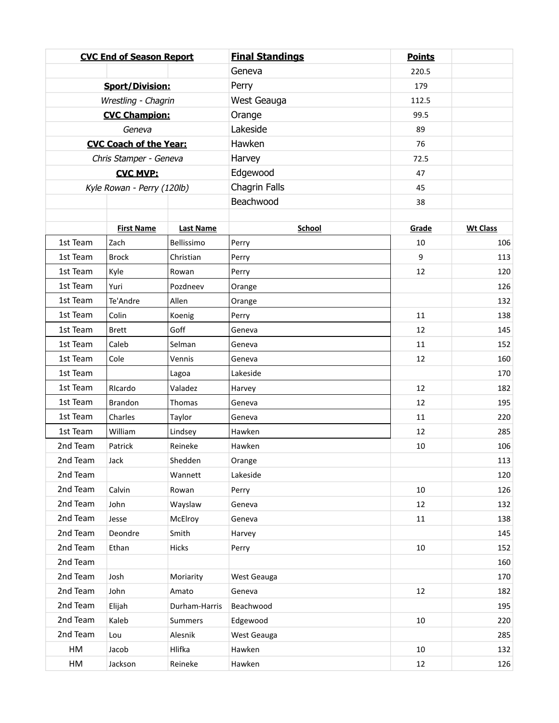|                               | <b>CVC End of Season Report</b> |                  | <b>Final Standings</b> | <b>Points</b> |                 |
|-------------------------------|---------------------------------|------------------|------------------------|---------------|-----------------|
|                               |                                 |                  | Geneva                 | 220.5         |                 |
|                               | <b>Sport/Division:</b>          |                  | Perry                  | 179           |                 |
| Wrestling - Chagrin           |                                 |                  | West Geauga            | 112.5         |                 |
| <b>CVC Champion:</b>          |                                 |                  | Orange                 | 99.5          |                 |
| Geneva                        |                                 |                  | Lakeside               | 89            |                 |
| <b>CVC Coach of the Year:</b> |                                 |                  | Hawken                 | 76            |                 |
| Chris Stamper - Geneva        |                                 |                  | Harvey                 | 72.5          |                 |
| <b>CVC MVP:</b>               |                                 |                  | Edgewood               | 47            |                 |
|                               | Kyle Rowan - Perry (120lb)      |                  | Chagrin Falls          | 45            |                 |
|                               |                                 |                  | Beachwood              | 38            |                 |
|                               |                                 |                  |                        |               |                 |
|                               | <b>First Name</b>               | <b>Last Name</b> | School                 | Grade         | <b>Wt Class</b> |
| 1st Team                      | Zach                            | Bellissimo       | Perry                  | 10            | 106             |
| 1st Team                      | <b>Brock</b>                    | Christian        | Perry                  | 9             | 113             |
| 1st Team                      | Kyle                            | Rowan            | Perry                  | 12            | 120             |
| 1st Team                      | Yuri                            | Pozdneev         | Orange                 |               | 126             |
| 1st Team                      | Te'Andre                        | Allen            | Orange                 |               | 132             |
| 1st Team                      | Colin                           | Koenig           | Perry                  | 11            | 138             |
| 1st Team                      | <b>Brett</b>                    | Goff             | Geneva                 | 12            | 145             |
| 1st Team<br>1st Team          | Caleb<br>Cole                   | Selman           | Geneva                 | 11            | 152             |
| 1st Team                      |                                 | Vennis           | Geneva<br>Lakeside     | 12            | 160<br>170      |
| 1st Team                      | RIcardo                         | Lagoa<br>Valadez |                        | 12            | 182             |
| 1st Team                      | <b>Brandon</b>                  | Thomas           | Harvey<br>Geneva       | 12            | 195             |
| 1st Team                      | Charles                         | Taylor           | Geneva                 | 11            | 220             |
| 1st Team                      | William                         | Lindsey          | Hawken                 | 12            | 285             |
| 2nd Team                      | Patrick                         | Reineke          | Hawken                 | 10            | 106             |
| 2nd Team                      | Jack                            | Shedden          | Orange                 |               | 113             |
| 2nd Team                      |                                 | Wannett          | Lakeside               |               | 120             |
| 2nd Team                      | Calvin                          | Rowan            | Perry                  | 10            | 126             |
| 2nd Team                      | John                            | Wayslaw          | Geneva                 | 12            | 132             |
| 2nd Team                      | Jesse                           | McElroy          | Geneva                 | $11\,$        | 138             |
| 2nd Team                      | Deondre                         | Smith            | Harvey                 |               | 145             |
| 2nd Team                      | Ethan                           | Hicks            | Perry                  | 10            | 152             |
| 2nd Team                      |                                 |                  |                        |               | 160             |
| 2nd Team                      | Josh                            | Moriarity        | West Geauga            |               | 170             |
| 2nd Team                      | John                            | Amato            | Geneva                 | 12            | 182             |
| 2nd Team                      | Elijah                          | Durham-Harris    | Beachwood              |               | 195             |
| 2nd Team                      | Kaleb                           | Summers          | Edgewood               | 10            | 220             |
| 2nd Team                      | Lou                             | Alesnik          | West Geauga            |               | 285             |
| HM                            | Jacob                           | Hlifka           | Hawken                 | 10            | 132             |
| HM                            | Jackson                         | Reineke          | Hawken                 | 12            | 126             |